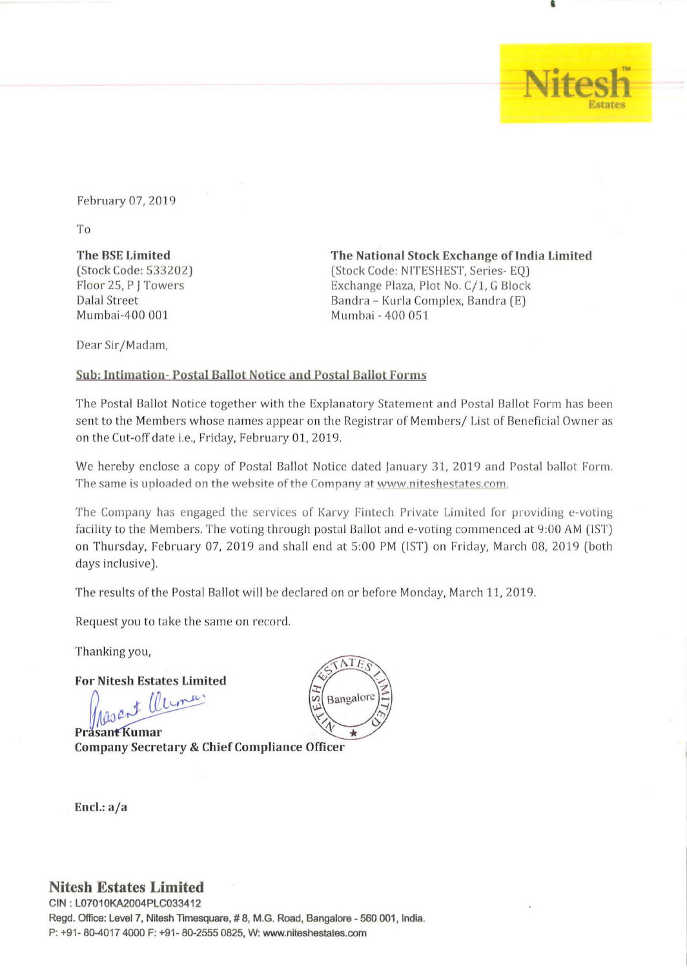February 07,2019

To

# The BSE Limited

(Stock Code: 533202) Floor 25, P J Towers Dalal Street Mumbai-400 001

Dear Sir/ Madam,

# The National Stock Exchange of India Limited (Stock Code: NITESHEST, Series-EQ) Exchange Plaza, Plot No. C/1, G Block Bandra - Kurla Complex, Bandra (E) Mumbai - 400 051

•

 $\overline{\text{esh}}$ 

Estates

# Sub: Intimation- Postal Ballot Notice and Postal Ballot Forms

The Postal Ballot Notice together with the Explanatory Statement and Postal Ballot Form has been sent to the Members whose names appear on the Registrar of Members/ List of Beneficial Owner as on the Cut-off date i.e., Friday, February 01, 2019.

We hereby enclose a copy of Postal Ballot Notice dated January 31, 2019 and Postal ballot Form. The same is uploaded on the website of the Company at www.niteshestates.com.

The Company has engaged the services of Karvy Fintech Private Limited for providing e-voting facility to the Members. The voting through postal Ballot and e-voting commenced at 9:00 AM (IST) on Thursday, February 07, 2019 and shall end at 5:00 PM (IST) on Friday, March 08, 2019 (both days inclusive).

The results of the Postal Ballot will be declared on or before Monday, March 11, 2019.

Request you to take the same on record.

Thanking you,

For Nitesh Estates Limited

Masant Cleman

Company Secretary & Chief Compliance Officer



Encl.: a/a

# **Nitesh Estates Limited**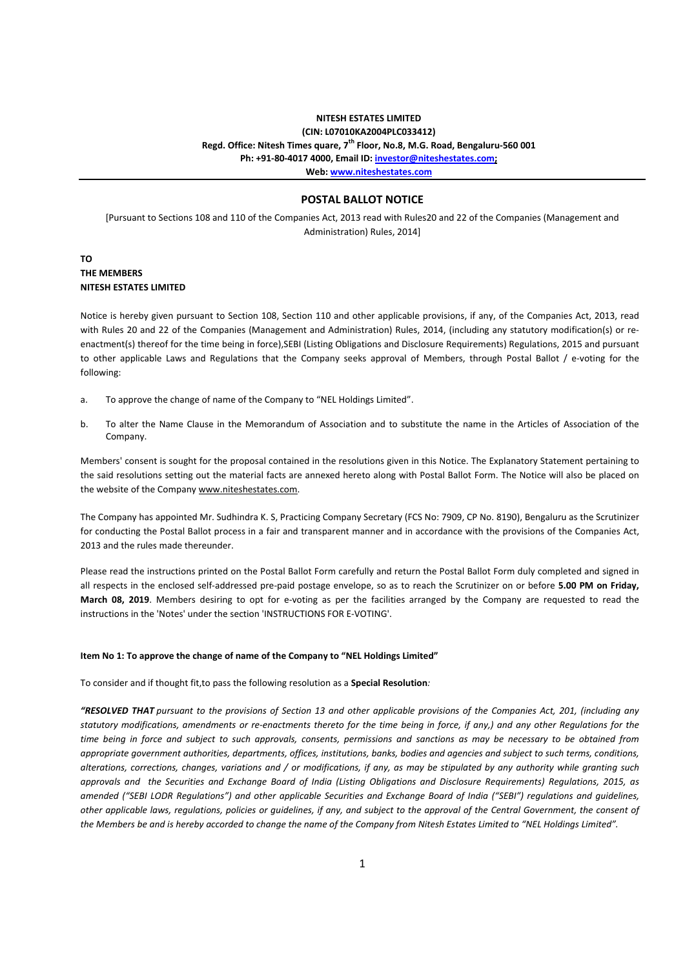## **NITESH ESTATES LIMITED (CIN: L07010KA2004PLC033412) Regd. Office: Nitesh Times quare, 7th Floor, No.8, M.G. Road, Bengaluru-560 001 Ph: +91-80-4017 4000, Email ID: investor@niteshestates.com; Web: www.niteshestates.com**

## **POSTAL BALLOT NOTICE**

[Pursuant to Sections 108 and 110 of the Companies Act, 2013 read with Rules20 and 22 of the Companies (Management and Administration) Rules, 2014]

## **TO THE MEMBERS NITESH ESTATES LIMITED**

Notice is hereby given pursuant to Section 108, Section 110 and other applicable provisions, if any, of the Companies Act, 2013, read with Rules 20 and 22 of the Companies (Management and Administration) Rules, 2014, (including any statutory modification(s) or reenactment(s) thereof for the time being in force),SEBI (Listing Obligations and Disclosure Requirements) Regulations, 2015 and pursuant to other applicable Laws and Regulations that the Company seeks approval of Members, through Postal Ballot / e-voting for the following:

- a. To approve the change of name of the Company to "NEL Holdings Limited".
- b. To alter the Name Clause in the Memorandum of Association and to substitute the name in the Articles of Association of the Company.

Members' consent is sought for the proposal contained in the resolutions given in this Notice. The Explanatory Statement pertaining to the said resolutions setting out the material facts are annexed hereto along with Postal Ballot Form. The Notice will also be placed on the website of the Company www.niteshestates.com.

The Company has appointed Mr. Sudhindra K. S, Practicing Company Secretary (FCS No: 7909, CP No. 8190), Bengaluru as the Scrutinizer for conducting the Postal Ballot process in a fair and transparent manner and in accordance with the provisions of the Companies Act, 2013 and the rules made thereunder.

Please read the instructions printed on the Postal Ballot Form carefully and return the Postal Ballot Form duly completed and signed in all respects in the enclosed self-addressed pre-paid postage envelope, so as to reach the Scrutinizer on or before **5.00 PM on Friday, March 08, 2019**. Members desiring to opt for e-voting as per the facilities arranged by the Company are requested to read the instructions in the 'Notes' under the section 'INSTRUCTIONS FOR E-VOTING'.

#### **Item No 1: To approve the change of name of the Company to "NEL Holdings Limited"**

To consider and if thought fit,to pass the following resolution as a **Special Resolution***:*

*"RESOLVED THAT pursuant to the provisions of Section 13 and other applicable provisions of the Companies Act, 201, (including any statutory modifications, amendments or re-enactments thereto for the time being in force, if any,) and any other Regulations for the time being in force and subject to such approvals, consents, permissions and sanctions as may be necessary to be obtained from appropriate government authorities, departments, offices, institutions, banks, bodies and agencies and subject to such terms, conditions, alterations, corrections, changes, variations and / or modifications, if any, as may be stipulated by any authority while granting such approvals and the Securities and Exchange Board of India (Listing Obligations and Disclosure Requirements) Regulations, 2015, as amended ("SEBI LODR Regulations") and other applicable Securities and Exchange Board of India ("SEBI") regulations and guidelines, other applicable laws, regulations, policies or guidelines, if any, and subject to the approval of the Central Government, the consent of the Members be and is hereby accorded to change the name of the Company from Nitesh Estates Limited to "NEL Holdings Limited".*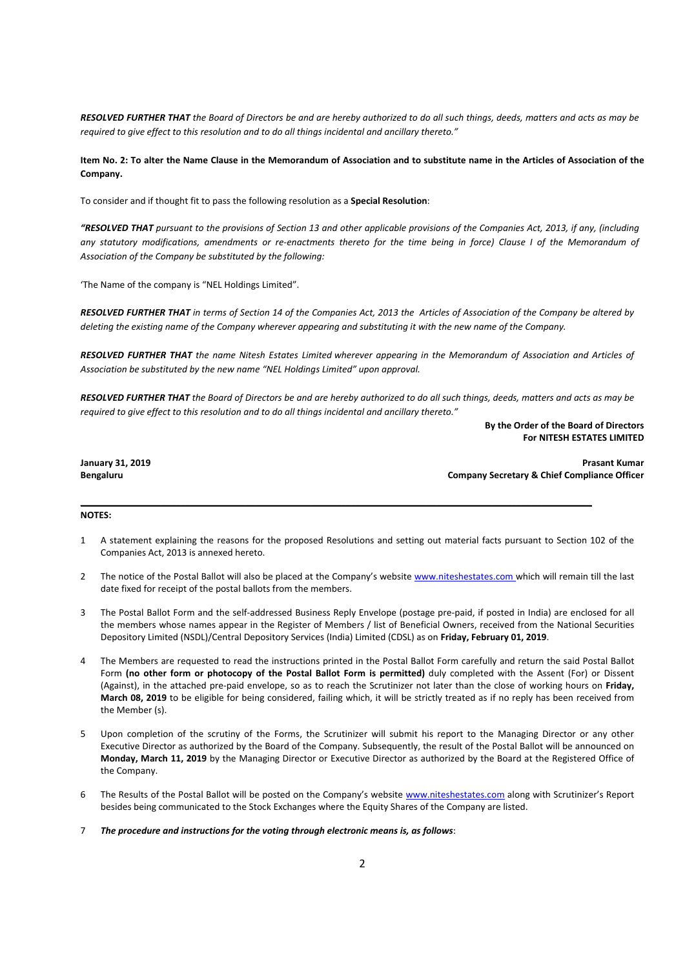*RESOLVED FURTHER THAT the Board of Directors be and are hereby authorized to do all such things, deeds, matters and acts as may be required to give effect to this resolution and to do all things incidental and ancillary thereto."* 

## **Item No. 2: To alter the Name Clause in the Memorandum of Association and to substitute name in the Articles of Association of the Company.**

To consider and if thought fit to pass the following resolution as a **Special Resolution**:

*"RESOLVED THAT pursuant to the provisions of Section 13 and other applicable provisions of the Companies Act, 2013, if any, (including any statutory modifications, amendments or re-enactments thereto for the time being in force) Clause I of the Memorandum of Association of the Company be substituted by the following:* 

'The Name of the company is "NEL Holdings Limited".

*RESOLVED FURTHER THAT in terms of Section 14 of the Companies Act, 2013 the Articles of Association of the Company be altered by deleting the existing name of the Company wherever appearing and substituting it with the new name of the Company.* 

*RESOLVED FURTHER THAT the name Nitesh Estates Limited wherever appearing in the Memorandum of Association and Articles of Association be substituted by the new name "NEL Holdings Limited" upon approval.* 

*RESOLVED FURTHER THAT the Board of Directors be and are hereby authorized to do all such things, deeds, matters and acts as may be required to give effect to this resolution and to do all things incidental and ancillary thereto."* 

> **By the Order of the Board of Directors For NITESH ESTATES LIMITED**

**January 31, 2019 Prasant Kumar Bengaluru Company Secretary & Chief Compliance Officer** 

#### **NOTES:**

1 A statement explaining the reasons for the proposed Resolutions and setting out material facts pursuant to Section 102 of the Companies Act, 2013 is annexed hereto.

\_\_\_\_\_\_\_\_\_\_\_\_\_\_\_\_\_\_\_\_\_\_\_\_\_\_\_\_\_\_\_\_\_\_\_\_\_\_\_\_\_\_\_\_\_\_\_\_\_\_\_\_\_\_\_\_\_\_\_\_\_\_\_\_\_\_\_\_\_\_\_\_\_\_\_\_\_\_\_\_\_\_\_\_\_\_\_\_\_\_\_\_\_\_\_\_\_\_\_\_\_\_

- 2 The notice of the Postal Ballot will also be placed at the Company's website www.niteshestates.com which will remain till the last date fixed for receipt of the postal ballots from the members.
- 3 The Postal Ballot Form and the self-addressed Business Reply Envelope (postage pre-paid, if posted in India) are enclosed for all the members whose names appear in the Register of Members / list of Beneficial Owners, received from the National Securities Depository Limited (NSDL)/Central Depository Services (India) Limited (CDSL) as on **Friday, February 01, 2019**.
- 4 The Members are requested to read the instructions printed in the Postal Ballot Form carefully and return the said Postal Ballot Form **(no other form or photocopy of the Postal Ballot Form is permitted)** duly completed with the Assent (For) or Dissent (Against), in the attached pre-paid envelope, so as to reach the Scrutinizer not later than the close of working hours on **Friday, March 08, 2019** to be eligible for being considered, failing which, it will be strictly treated as if no reply has been received from the Member (s).
- Upon completion of the scrutiny of the Forms, the Scrutinizer will submit his report to the Managing Director or any other Executive Director as authorized by the Board of the Company. Subsequently, the result of the Postal Ballot will be announced on **Monday, March 11, 2019** by the Managing Director or Executive Director as authorized by the Board at the Registered Office of the Company.
- 6 The Results of the Postal Ballot will be posted on the Company's website www.niteshestates.com along with Scrutinizer's Report besides being communicated to the Stock Exchanges where the Equity Shares of the Company are listed.
- 7 *The procedure and instructions for the voting through electronic means is, as follows*: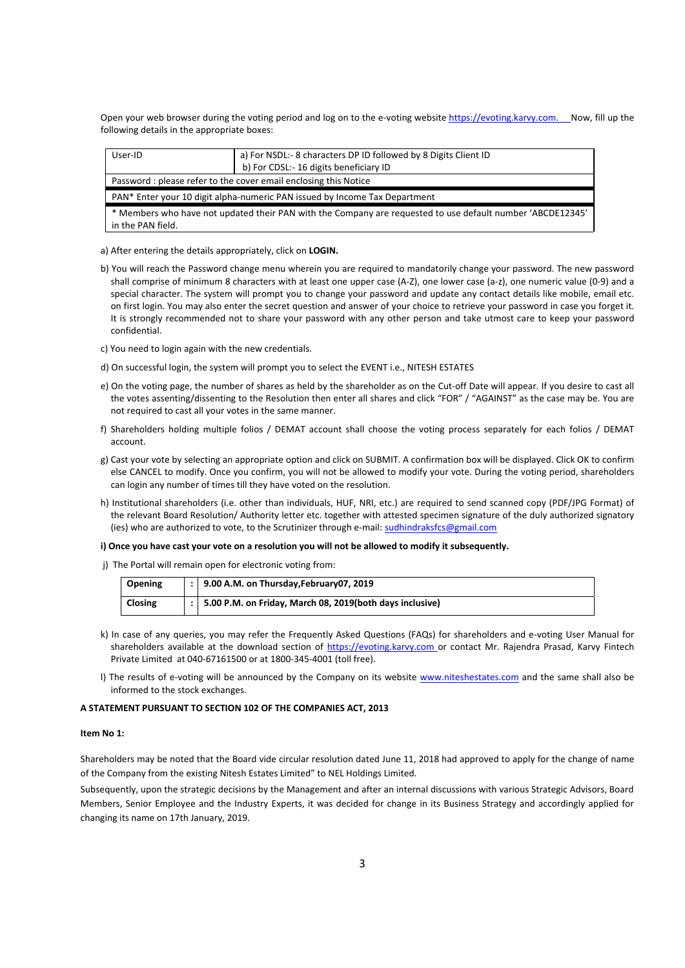Open your web browser during the voting period and log on to the e-voting website https://evoting.karvy.com. Now, fill up the following details in the appropriate boxes:

| User-ID                                                                                                                         | a) For NSDL:- 8 characters DP ID followed by 8 Digits Client ID |  |  |
|---------------------------------------------------------------------------------------------------------------------------------|-----------------------------------------------------------------|--|--|
|                                                                                                                                 | b) For CDSL:- 16 digits beneficiary ID                          |  |  |
| Password: please refer to the cover email enclosing this Notice                                                                 |                                                                 |  |  |
| PAN* Enter your 10 digit alpha-numeric PAN issued by Income Tax Department                                                      |                                                                 |  |  |
| * Members who have not updated their PAN with the Company are requested to use default number 'ABCDE12345'<br>in the PAN field. |                                                                 |  |  |

a) After entering the details appropriately, click on **LOGIN.** 

b) You will reach the Password change menu wherein you are required to mandatorily change your password. The new password shall comprise of minimum 8 characters with at least one upper case (A-Z), one lower case (a-z), one numeric value (0-9) and a special character. The system will prompt you to change your password and update any contact details like mobile, email etc. on first login. You may also enter the secret question and answer of your choice to retrieve your password in case you forget it. It is strongly recommended not to share your password with any other person and take utmost care to keep your password confidential.

c) You need to login again with the new credentials.

- d) On successful login, the system will prompt you to select the EVENT i.e., NITESH ESTATES
- e) On the voting page, the number of shares as held by the shareholder as on the Cut-off Date will appear. If you desire to cast all the votes assenting/dissenting to the Resolution then enter all shares and click "FOR" / "AGAINST" as the case may be. You are not required to cast all your votes in the same manner.
- f) Shareholders holding multiple folios / DEMAT account shall choose the voting process separately for each folios / DEMAT account.
- g) Cast your vote by selecting an appropriate option and click on SUBMIT. A confirmation box will be displayed. Click OK to confirm else CANCEL to modify. Once you confirm, you will not be allowed to modify your vote. During the voting period, shareholders can login any number of times till they have voted on the resolution.
- h) Institutional shareholders (i.e. other than individuals, HUF, NRI, etc.) are required to send scanned copy (PDF/JPG Format) of the relevant Board Resolution/ Authority letter etc. together with attested specimen signature of the duly authorized signatory (ies) who are authorized to vote, to the Scrutinizer through e-mail: sudhindraksfcs@gmail.com

#### **i) Once you have cast your vote on a resolution you will not be allowed to modify it subsequently.**

j) The Portal will remain open for electronic voting from:

| Opening        | $\vert$ :   9.00 A.M. on Thursday, February 07, 2019                 |
|----------------|----------------------------------------------------------------------|
| <b>Closing</b> | $\vert$ :   5.00 P.M. on Friday, March 08, 2019(both days inclusive) |

- k) In case of any queries, you may refer the Frequently Asked Questions (FAQs) for shareholders and e-voting User Manual for shareholders available at the download section of https://evoting.karvy.com or contact Mr. Rajendra Prasad, Karvy Fintech Private Limited at 040-67161500 or at 1800-345-4001 (toll free).
- l) The results of e-voting will be announced by the Company on its website www.niteshestates.com and the same shall also be informed to the stock exchanges.

#### **A STATEMENT PURSUANT TO SECTION 102 OF THE COMPANIES ACT, 2013**

#### **Item No 1:**

Shareholders may be noted that the Board vide circular resolution dated June 11, 2018 had approved to apply for the change of name of the Company from the existing Nitesh Estates Limited" to NEL Holdings Limited.

Subsequently, upon the strategic decisions by the Management and after an internal discussions with various Strategic Advisors, Board Members, Senior Employee and the Industry Experts, it was decided for change in its Business Strategy and accordingly applied for changing its name on 17th January, 2019.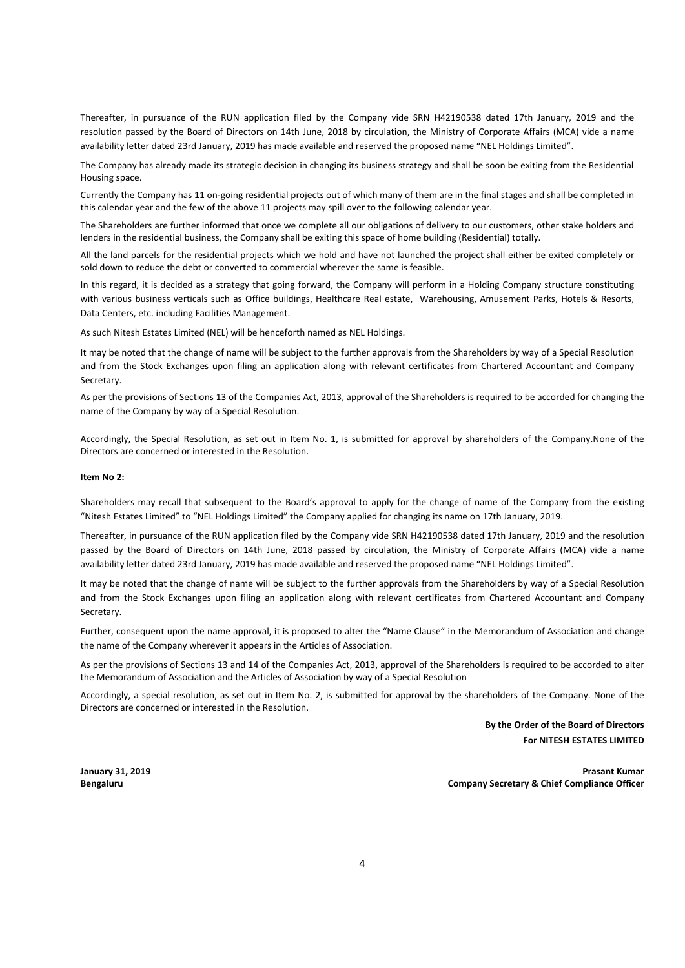Thereafter, in pursuance of the RUN application filed by the Company vide SRN H42190538 dated 17th January, 2019 and the resolution passed by the Board of Directors on 14th June, 2018 by circulation, the Ministry of Corporate Affairs (MCA) vide a name availability letter dated 23rd January, 2019 has made available and reserved the proposed name "NEL Holdings Limited".

The Company has already made its strategic decision in changing its business strategy and shall be soon be exiting from the Residential Housing space.

Currently the Company has 11 on-going residential projects out of which many of them are in the final stages and shall be completed in this calendar year and the few of the above 11 projects may spill over to the following calendar year.

The Shareholders are further informed that once we complete all our obligations of delivery to our customers, other stake holders and lenders in the residential business, the Company shall be exiting this space of home building (Residential) totally.

All the land parcels for the residential projects which we hold and have not launched the project shall either be exited completely or sold down to reduce the debt or converted to commercial wherever the same is feasible.

In this regard, it is decided as a strategy that going forward, the Company will perform in a Holding Company structure constituting with various business verticals such as Office buildings, Healthcare Real estate, Warehousing, Amusement Parks, Hotels & Resorts, Data Centers, etc. including Facilities Management.

As such Nitesh Estates Limited (NEL) will be henceforth named as NEL Holdings.

It may be noted that the change of name will be subject to the further approvals from the Shareholders by way of a Special Resolution and from the Stock Exchanges upon filing an application along with relevant certificates from Chartered Accountant and Company Secretary.

As per the provisions of Sections 13 of the Companies Act, 2013, approval of the Shareholders is required to be accorded for changing the name of the Company by way of a Special Resolution.

Accordingly, the Special Resolution, as set out in Item No. 1, is submitted for approval by shareholders of the Company.None of the Directors are concerned or interested in the Resolution.

#### **Item No 2:**

Shareholders may recall that subsequent to the Board's approval to apply for the change of name of the Company from the existing "Nitesh Estates Limited" to "NEL Holdings Limited" the Company applied for changing its name on 17th January, 2019.

Thereafter, in pursuance of the RUN application filed by the Company vide SRN H42190538 dated 17th January, 2019 and the resolution passed by the Board of Directors on 14th June, 2018 passed by circulation, the Ministry of Corporate Affairs (MCA) vide a name availability letter dated 23rd January, 2019 has made available and reserved the proposed name "NEL Holdings Limited".

It may be noted that the change of name will be subject to the further approvals from the Shareholders by way of a Special Resolution and from the Stock Exchanges upon filing an application along with relevant certificates from Chartered Accountant and Company Secretary.

Further, consequent upon the name approval, it is proposed to alter the "Name Clause" in the Memorandum of Association and change the name of the Company wherever it appears in the Articles of Association.

As per the provisions of Sections 13 and 14 of the Companies Act, 2013, approval of the Shareholders is required to be accorded to alter the Memorandum of Association and the Articles of Association by way of a Special Resolution

Accordingly, a special resolution, as set out in Item No. 2, is submitted for approval by the shareholders of the Company. None of the Directors are concerned or interested in the Resolution.

> **By the Order of the Board of Directors For NITESH ESTATES LIMITED**

**January 31, 2019 Prasant Kumar Bengaluru Company Secretary & Chief Compliance Officer**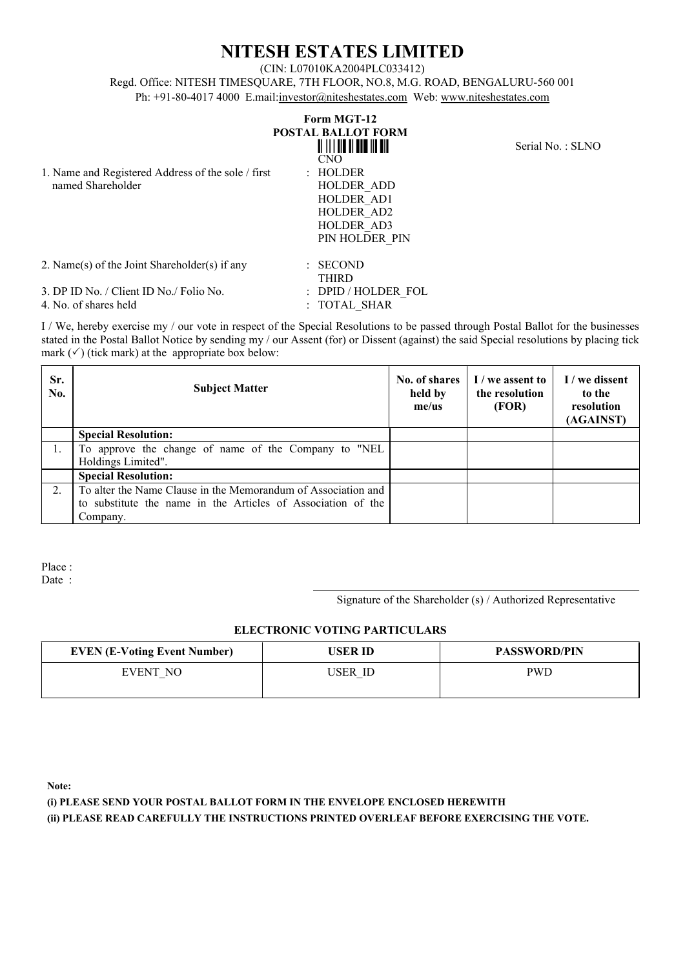# **NITESH ESTATES LIMITED**

(CIN: L07010KA2004PLC033412)

Regd. Office: NITESH TIMESQUARE, 7TH FLOOR, NO.8, M.G. ROAD, BENGALURU-560 001 Ph: +91-80-4017 4000 E.mail: investor@niteshestates.com Web: www.niteshestates.com

| 1. Name and Registered Address of the sole / first<br>named Shareholder | Form MGT-12<br><b>POSTAL BALLOT FORM</b><br><u> ALII II ALII III ALI</u><br><b>CNO</b><br>: HOLDER<br><b>HOLDER ADD</b><br>HOLDER AD1<br>HOLDER AD2<br>HOLDER AD3<br>PIN HOLDER PIN | Serial No.: SLNO |
|-------------------------------------------------------------------------|-------------------------------------------------------------------------------------------------------------------------------------------------------------------------------------|------------------|
| 2. Name(s) of the Joint Shareholder(s) if any                           | <b>SECOND</b><br>÷.,<br><b>THIRD</b>                                                                                                                                                |                  |
| 3. DP ID No. / Client ID No./ Folio No.<br>4. No. of shares held        | : DPID / HOLDER FOL<br>: TOTAL SHAR                                                                                                                                                 |                  |

I / We, hereby exercise my / our vote in respect of the Special Resolutions to be passed through Postal Ballot for the businesses stated in the Postal Ballot Notice by sending my / our Assent (for) or Dissent (against) the said Special resolutions by placing tick mark  $(\checkmark)$  (tick mark) at the appropriate box below:

| Sr.<br>No.       | <b>Subject Matter</b>                                         | No. of shares<br>held by<br>$me$ /us | I / we assent to<br>the resolution<br>(FOR) | I / we dissent<br>to the<br>resolution<br>(AGAINST) |
|------------------|---------------------------------------------------------------|--------------------------------------|---------------------------------------------|-----------------------------------------------------|
|                  | <b>Special Resolution:</b>                                    |                                      |                                             |                                                     |
|                  | To approve the change of name of the Company to "NEL          |                                      |                                             |                                                     |
|                  | Holdings Limited".                                            |                                      |                                             |                                                     |
|                  | <b>Special Resolution:</b>                                    |                                      |                                             |                                                     |
| $\mathfrak{2}$ . | To alter the Name Clause in the Memorandum of Association and |                                      |                                             |                                                     |
|                  | to substitute the name in the Articles of Association of the  |                                      |                                             |                                                     |
|                  | Company.                                                      |                                      |                                             |                                                     |

Place : Date :

Signature of the Shareholder (s) / Authorized Representative

# **ELECTRONIC VOTING PARTICULARS**

| <b>EVEN (E-Voting Event Number)</b> | USER ID | <b>PASSWORD/PIN</b> |
|-------------------------------------|---------|---------------------|
| EVENT NO                            | USER ID | PWD                 |

**Note:**

**(i) PLEASE SEND YOUR POSTAL BALLOT FORM IN THE ENVELOPE ENCLOSED HEREWITH (ii) PLEASE READ CAREFULLY THE INSTRUCTIONS PRINTED OVERLEAF BEFORE EXERCISING THE VOTE.**